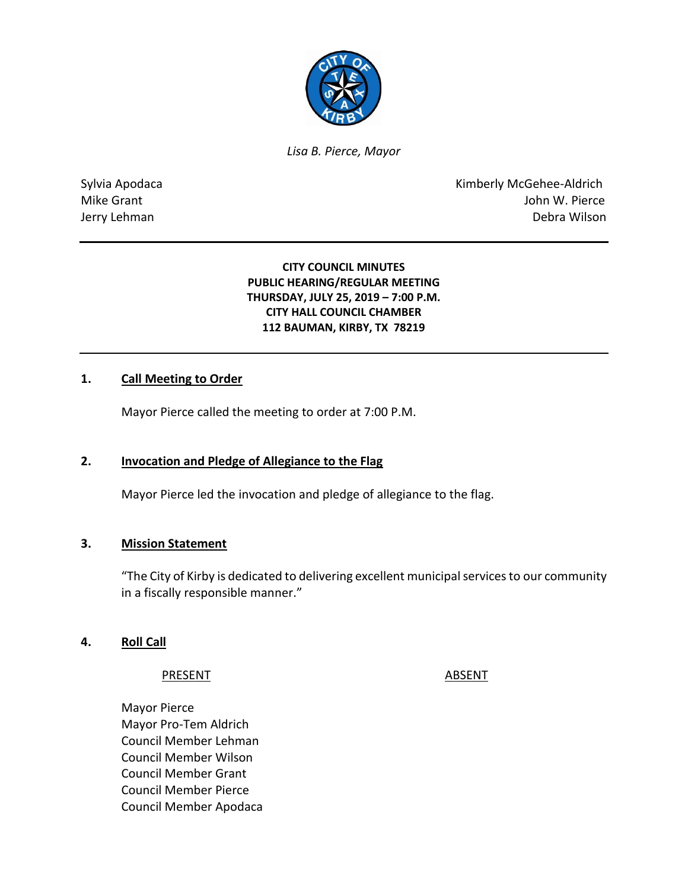

*Lisa B. Pierce, Mayor* 

Sylvia Apodaca **Kimberly McGehee-Aldrich** Mike Grant **Mike Grant** John W. Pierce Jerry Lehman Debra Wilson

### **CITY COUNCIL MINUTES PUBLIC HEARING/REGULAR MEETING THURSDAY, JULY 25, 2019 – 7:00 P.M. CITY HALL COUNCIL CHAMBER 112 BAUMAN, KIRBY, TX 78219**

#### **1. Call Meeting to Order**

Mayor Pierce called the meeting to order at 7:00 P.M.

#### **2. Invocation and Pledge of Allegiance to the Flag**

Mayor Pierce led the invocation and pledge of allegiance to the flag.

#### **3. Mission Statement**

"The City of Kirby is dedicated to delivering excellent municipal services to our community in a fiscally responsible manner."

#### **4. Roll Call**

#### PRESENT ABSENT

Mayor Pierce Mayor Pro-Tem Aldrich Council Member Lehman Council Member Wilson Council Member Grant Council Member Pierce Council Member Apodaca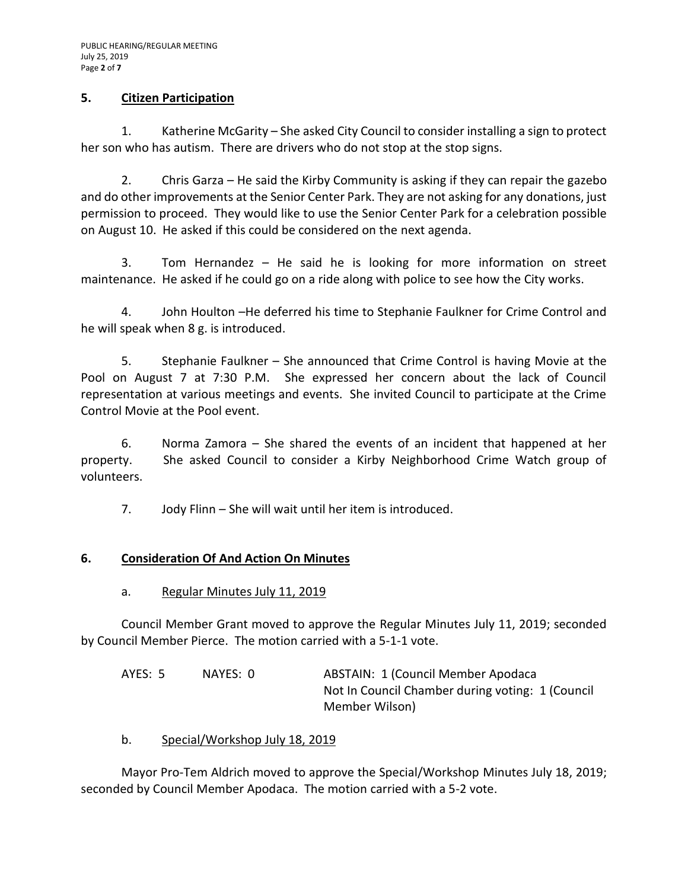### **5. Citizen Participation**

1. Katherine McGarity – She asked City Council to consider installing a sign to protect her son who has autism. There are drivers who do not stop at the stop signs.

2. Chris Garza – He said the Kirby Community is asking if they can repair the gazebo and do other improvements at the Senior Center Park. They are not asking for any donations, just permission to proceed. They would like to use the Senior Center Park for a celebration possible on August 10. He asked if this could be considered on the next agenda.

3. Tom Hernandez – He said he is looking for more information on street maintenance. He asked if he could go on a ride along with police to see how the City works.

4. John Houlton –He deferred his time to Stephanie Faulkner for Crime Control and he will speak when 8 g. is introduced.

5. Stephanie Faulkner – She announced that Crime Control is having Movie at the Pool on August 7 at 7:30 P.M. She expressed her concern about the lack of Council representation at various meetings and events. She invited Council to participate at the Crime Control Movie at the Pool event.

6. Norma Zamora – She shared the events of an incident that happened at her property. She asked Council to consider a Kirby Neighborhood Crime Watch group of volunteers.

7. Jody Flinn – She will wait until her item is introduced.

#### **6. Consideration Of And Action On Minutes**

#### a. Regular Minutes July 11, 2019

Council Member Grant moved to approve the Regular Minutes July 11, 2019; seconded by Council Member Pierce. The motion carried with a 5-1-1 vote.

| AYES: 5 | NAYES: 0 | <b>ABSTAIN: 1 (Council Member Apodaca)</b>       |  |
|---------|----------|--------------------------------------------------|--|
|         |          | Not In Council Chamber during voting: 1 (Council |  |
|         |          | Member Wilson)                                   |  |

b. Special/Workshop July 18, 2019

Mayor Pro-Tem Aldrich moved to approve the Special/Workshop Minutes July 18, 2019; seconded by Council Member Apodaca. The motion carried with a 5-2 vote.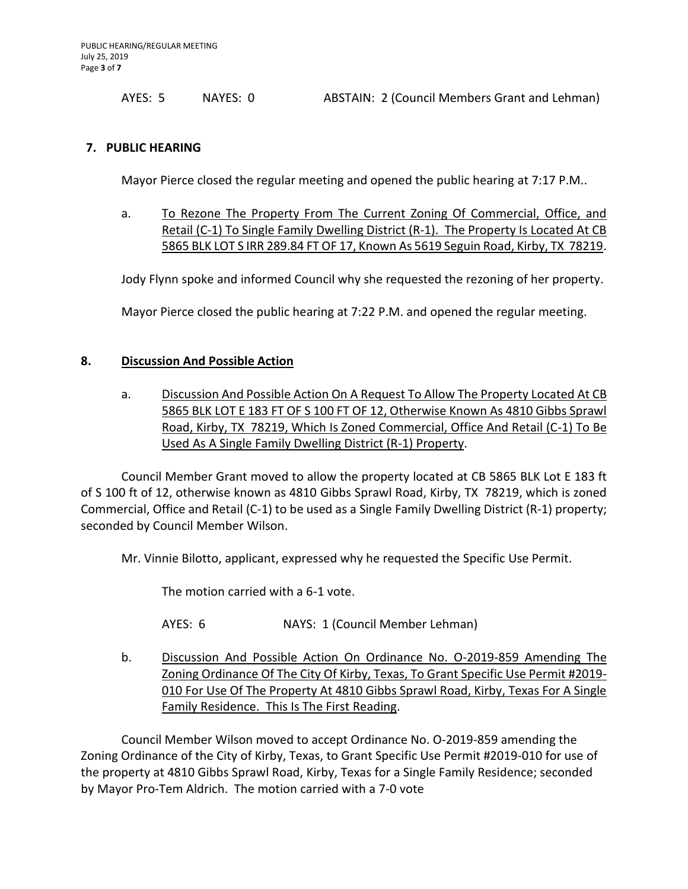AYES: 5 NAYES: 0 ABSTAIN: 2 (Council Members Grant and Lehman)

#### **7. PUBLIC HEARING**

Mayor Pierce closed the regular meeting and opened the public hearing at 7:17 P.M..

a. To Rezone The Property From The Current Zoning Of Commercial, Office, and Retail (C-1) To Single Family Dwelling District (R-1). The Property Is Located At CB 5865 BLK LOT S IRR 289.84 FT OF 17, Known As 5619 Seguin Road, Kirby, TX 78219.

Jody Flynn spoke and informed Council why she requested the rezoning of her property.

Mayor Pierce closed the public hearing at 7:22 P.M. and opened the regular meeting.

#### **8. Discussion And Possible Action**

a. Discussion And Possible Action On A Request To Allow The Property Located At CB 5865 BLK LOT E 183 FT OF S 100 FT OF 12, Otherwise Known As 4810 Gibbs Sprawl Road, Kirby, TX 78219, Which Is Zoned Commercial, Office And Retail (C-1) To Be Used As A Single Family Dwelling District (R-1) Property.

Council Member Grant moved to allow the property located at CB 5865 BLK Lot E 183 ft of S 100 ft of 12, otherwise known as 4810 Gibbs Sprawl Road, Kirby, TX 78219, which is zoned Commercial, Office and Retail (C-1) to be used as a Single Family Dwelling District (R-1) property; seconded by Council Member Wilson.

Mr. Vinnie Bilotto, applicant, expressed why he requested the Specific Use Permit.

The motion carried with a 6-1 vote.

AYES: 6 NAYS: 1 (Council Member Lehman)

b. Discussion And Possible Action On Ordinance No. O-2019-859 Amending The Zoning Ordinance Of The City Of Kirby, Texas, To Grant Specific Use Permit #2019- 010 For Use Of The Property At 4810 Gibbs Sprawl Road, Kirby, Texas For A Single Family Residence. This Is The First Reading.

Council Member Wilson moved to accept Ordinance No. O-2019-859 amending the Zoning Ordinance of the City of Kirby, Texas, to Grant Specific Use Permit #2019-010 for use of the property at 4810 Gibbs Sprawl Road, Kirby, Texas for a Single Family Residence; seconded by Mayor Pro-Tem Aldrich. The motion carried with a 7-0 vote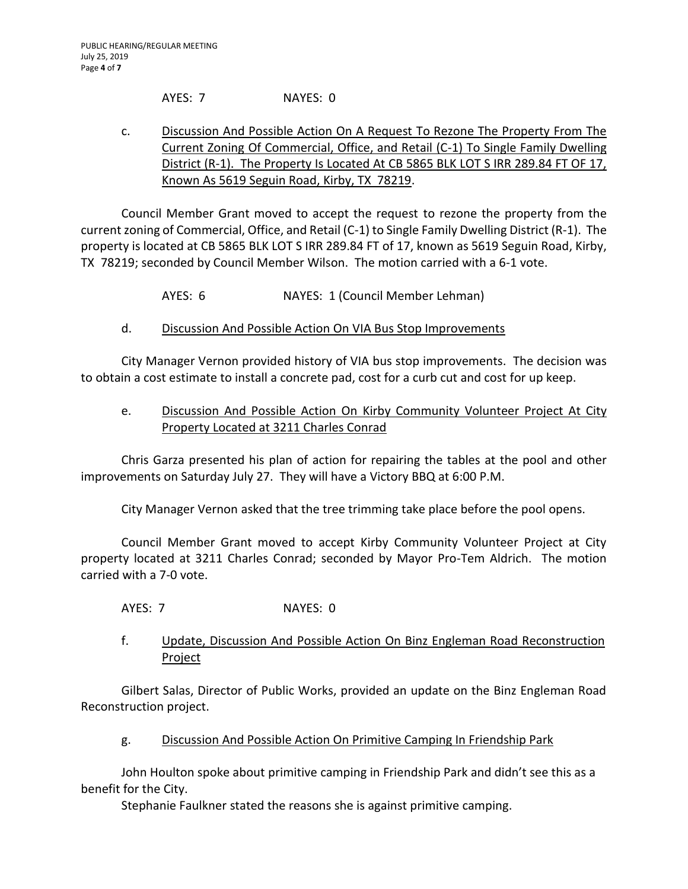AYES: 7 NAYES: 0

### c. Discussion And Possible Action On A Request To Rezone The Property From The Current Zoning Of Commercial, Office, and Retail (C-1) To Single Family Dwelling District (R-1). The Property Is Located At CB 5865 BLK LOT S IRR 289.84 FT OF 17, Known As 5619 Seguin Road, Kirby, TX 78219.

Council Member Grant moved to accept the request to rezone the property from the current zoning of Commercial, Office, and Retail (C-1) to Single Family Dwelling District (R-1). The property is located at CB 5865 BLK LOT S IRR 289.84 FT of 17, known as 5619 Seguin Road, Kirby, TX 78219; seconded by Council Member Wilson. The motion carried with a 6-1 vote.

AYES: 6 NAYES: 1 (Council Member Lehman)

## d. Discussion And Possible Action On VIA Bus Stop Improvements

City Manager Vernon provided history of VIA bus stop improvements. The decision was to obtain a cost estimate to install a concrete pad, cost for a curb cut and cost for up keep.

### e. Discussion And Possible Action On Kirby Community Volunteer Project At City Property Located at 3211 Charles Conrad

Chris Garza presented his plan of action for repairing the tables at the pool and other improvements on Saturday July 27. They will have a Victory BBQ at 6:00 P.M.

City Manager Vernon asked that the tree trimming take place before the pool opens.

Council Member Grant moved to accept Kirby Community Volunteer Project at City property located at 3211 Charles Conrad; seconded by Mayor Pro-Tem Aldrich. The motion carried with a 7-0 vote.

AYES: 7 NAYES: 0

f. Update, Discussion And Possible Action On Binz Engleman Road Reconstruction **Project** 

Gilbert Salas, Director of Public Works, provided an update on the Binz Engleman Road Reconstruction project.

g. Discussion And Possible Action On Primitive Camping In Friendship Park

John Houlton spoke about primitive camping in Friendship Park and didn't see this as a benefit for the City.

Stephanie Faulkner stated the reasons she is against primitive camping.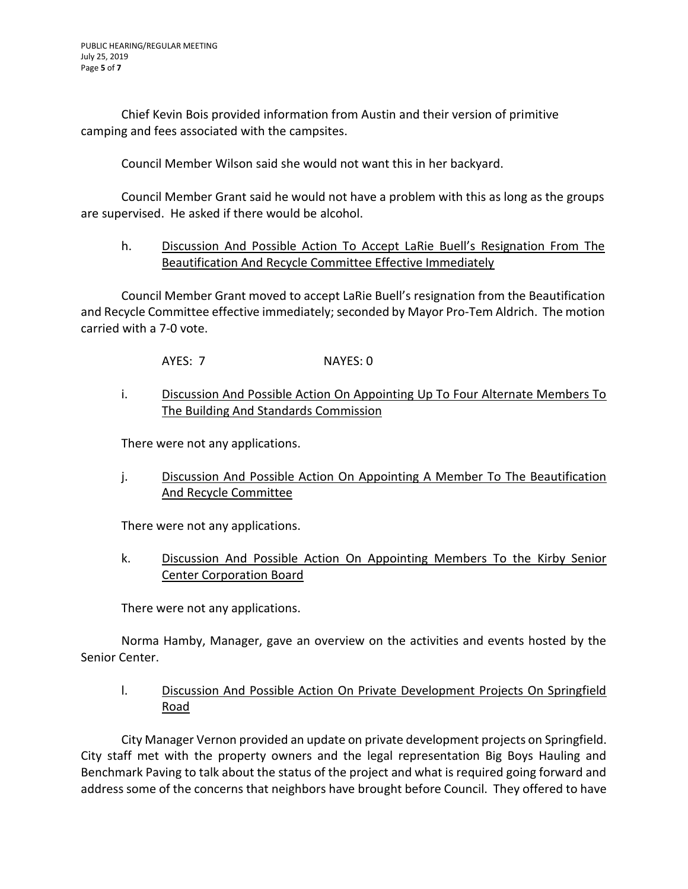Chief Kevin Bois provided information from Austin and their version of primitive camping and fees associated with the campsites.

Council Member Wilson said she would not want this in her backyard.

Council Member Grant said he would not have a problem with this as long as the groups are supervised. He asked if there would be alcohol.

### h. Discussion And Possible Action To Accept LaRie Buell's Resignation From The Beautification And Recycle Committee Effective Immediately

Council Member Grant moved to accept LaRie Buell's resignation from the Beautification and Recycle Committee effective immediately; seconded by Mayor Pro-Tem Aldrich. The motion carried with a 7-0 vote.

AYES: 7 NAYES: 0

### i. Discussion And Possible Action On Appointing Up To Four Alternate Members To The Building And Standards Commission

There were not any applications.

j. Discussion And Possible Action On Appointing A Member To The Beautification And Recycle Committee

There were not any applications.

k. Discussion And Possible Action On Appointing Members To the Kirby Senior Center Corporation Board

There were not any applications.

Norma Hamby, Manager, gave an overview on the activities and events hosted by the Senior Center.

l. Discussion And Possible Action On Private Development Projects On Springfield Road

City Manager Vernon provided an update on private development projects on Springfield. City staff met with the property owners and the legal representation Big Boys Hauling and Benchmark Paving to talk about the status of the project and what is required going forward and address some of the concerns that neighbors have brought before Council. They offered to have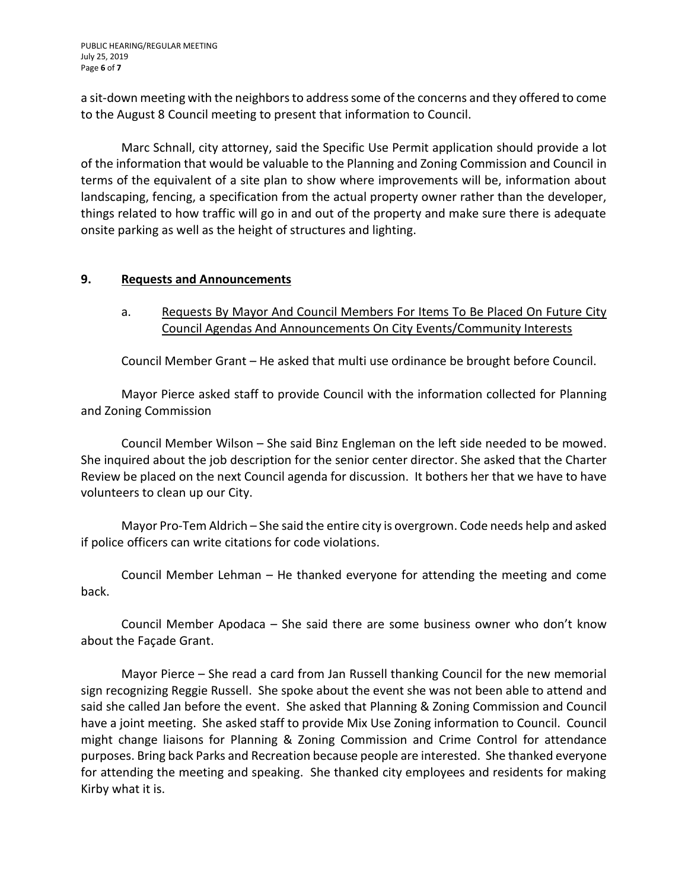PUBLIC HEARING/REGULAR MEETING July 25, 2019 Page **6** of **7**

a sit-down meeting with the neighbors to address some of the concerns and they offered to come to the August 8 Council meeting to present that information to Council.

Marc Schnall, city attorney, said the Specific Use Permit application should provide a lot of the information that would be valuable to the Planning and Zoning Commission and Council in terms of the equivalent of a site plan to show where improvements will be, information about landscaping, fencing, a specification from the actual property owner rather than the developer, things related to how traffic will go in and out of the property and make sure there is adequate onsite parking as well as the height of structures and lighting.

#### **9. Requests and Announcements**

a. Requests By Mayor And Council Members For Items To Be Placed On Future City Council Agendas And Announcements On City Events/Community Interests

Council Member Grant – He asked that multi use ordinance be brought before Council.

Mayor Pierce asked staff to provide Council with the information collected for Planning and Zoning Commission

Council Member Wilson – She said Binz Engleman on the left side needed to be mowed. She inquired about the job description for the senior center director. She asked that the Charter Review be placed on the next Council agenda for discussion. It bothers her that we have to have volunteers to clean up our City.

Mayor Pro-Tem Aldrich – She said the entire city is overgrown. Code needs help and asked if police officers can write citations for code violations.

Council Member Lehman – He thanked everyone for attending the meeting and come back.

Council Member Apodaca – She said there are some business owner who don't know about the Façade Grant.

Mayor Pierce – She read a card from Jan Russell thanking Council for the new memorial sign recognizing Reggie Russell. She spoke about the event she was not been able to attend and said she called Jan before the event. She asked that Planning & Zoning Commission and Council have a joint meeting. She asked staff to provide Mix Use Zoning information to Council. Council might change liaisons for Planning & Zoning Commission and Crime Control for attendance purposes. Bring back Parks and Recreation because people are interested. She thanked everyone for attending the meeting and speaking. She thanked city employees and residents for making Kirby what it is.